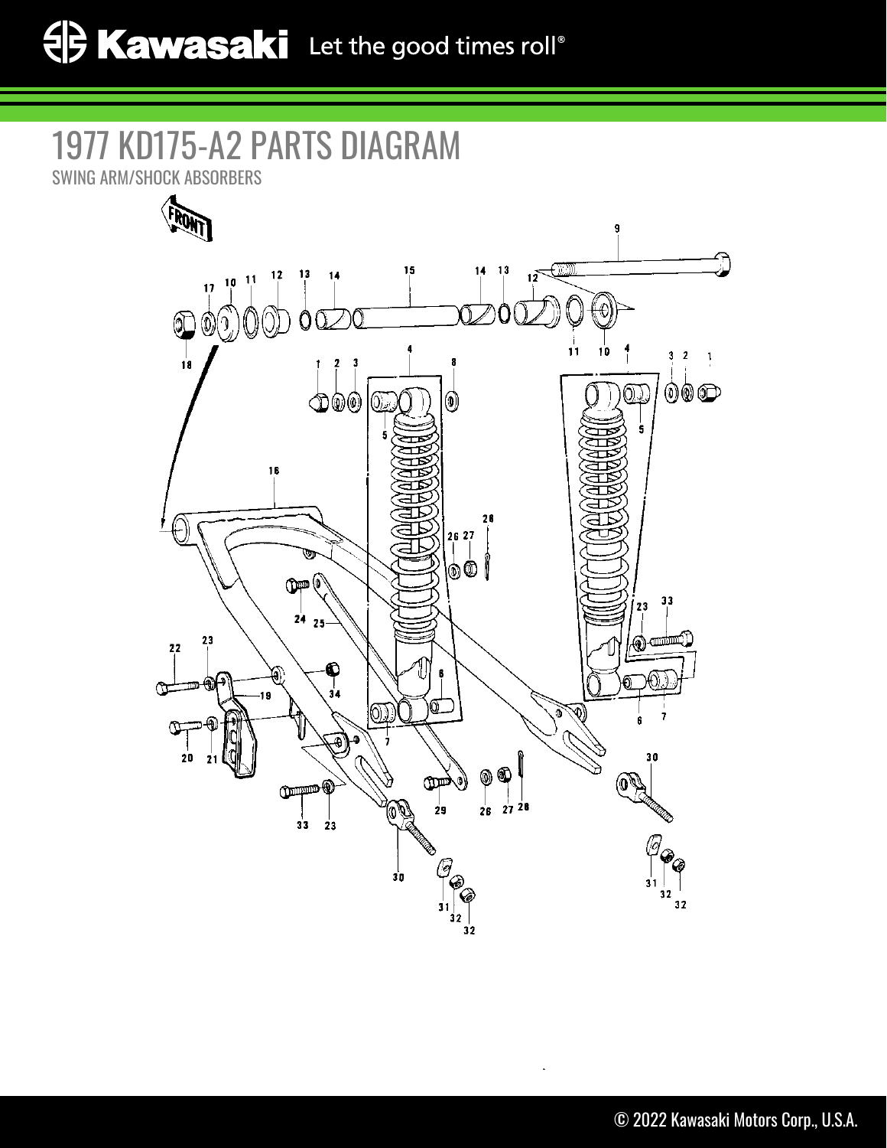## 1977 KD175-A2 PARTS DIAGRAM

SWING ARM/SHOCK ABSORBERS

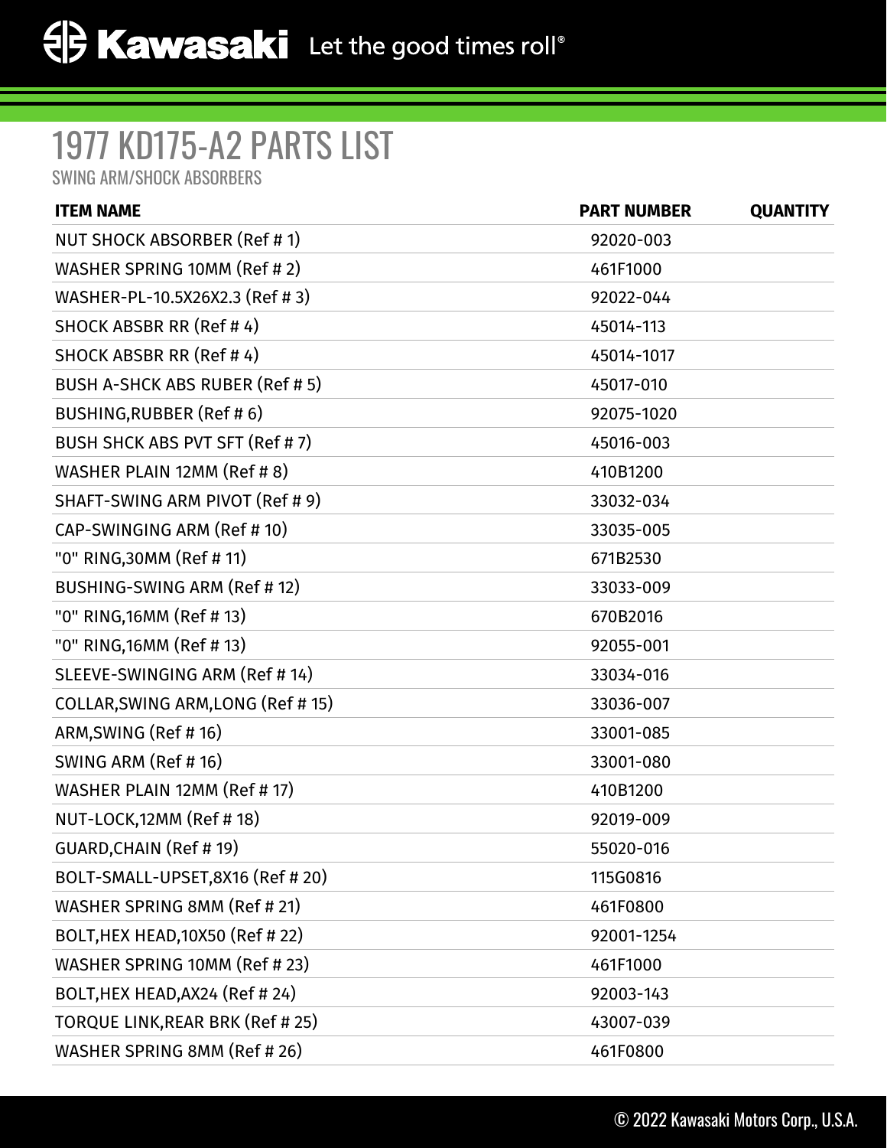## 1977 KD175-A2 PARTS LIST

SWING ARM/SHOCK ABSORBERS

| <b>ITEM NAME</b>                      | <b>PART NUMBER</b> | <b>QUANTITY</b> |
|---------------------------------------|--------------------|-----------------|
| NUT SHOCK ABSORBER (Ref # 1)          | 92020-003          |                 |
| WASHER SPRING 10MM (Ref # 2)          | 461F1000           |                 |
| WASHER-PL-10.5X26X2.3 (Ref # 3)       | 92022-044          |                 |
| SHOCK ABSBR RR (Ref #4)               | 45014-113          |                 |
| SHOCK ABSBR RR (Ref #4)               | 45014-1017         |                 |
| <b>BUSH A-SHCK ABS RUBER (Ref #5)</b> | 45017-010          |                 |
| BUSHING, RUBBER (Ref #6)              | 92075-1020         |                 |
| BUSH SHCK ABS PVT SFT (Ref # 7)       | 45016-003          |                 |
| WASHER PLAIN 12MM (Ref # 8)           | 410B1200           |                 |
| SHAFT-SWING ARM PIVOT (Ref # 9)       | 33032-034          |                 |
| CAP-SWINGING ARM (Ref # 10)           | 33035-005          |                 |
| "0" RING,30MM (Ref # 11)              | 671B2530           |                 |
| BUSHING-SWING ARM (Ref #12)           | 33033-009          |                 |
| "0" RING, 16MM (Ref # 13)             | 670B2016           |                 |
| "0" RING, 16MM (Ref # 13)             | 92055-001          |                 |
| SLEEVE-SWINGING ARM (Ref # 14)        | 33034-016          |                 |
| COLLAR, SWING ARM, LONG (Ref # 15)    | 33036-007          |                 |
| ARM, SWING (Ref #16)                  | 33001-085          |                 |
| SWING ARM (Ref # 16)                  | 33001-080          |                 |
| WASHER PLAIN 12MM (Ref # 17)          | 410B1200           |                 |
| NUT-LOCK, 12MM (Ref # 18)             | 92019-009          |                 |
| GUARD, CHAIN (Ref # 19)               | 55020-016          |                 |
| BOLT-SMALL-UPSET,8X16 (Ref # 20)      | 115G0816           |                 |
| WASHER SPRING 8MM (Ref # 21)          | 461F0800           |                 |
| BOLT, HEX HEAD, 10X50 (Ref # 22)      | 92001-1254         |                 |
| WASHER SPRING 10MM (Ref # 23)         | 461F1000           |                 |
| BOLT, HEX HEAD, AX24 (Ref # 24)       | 92003-143          |                 |
| TORQUE LINK, REAR BRK (Ref # 25)      | 43007-039          |                 |
| WASHER SPRING 8MM (Ref # 26)          | 461F0800           |                 |